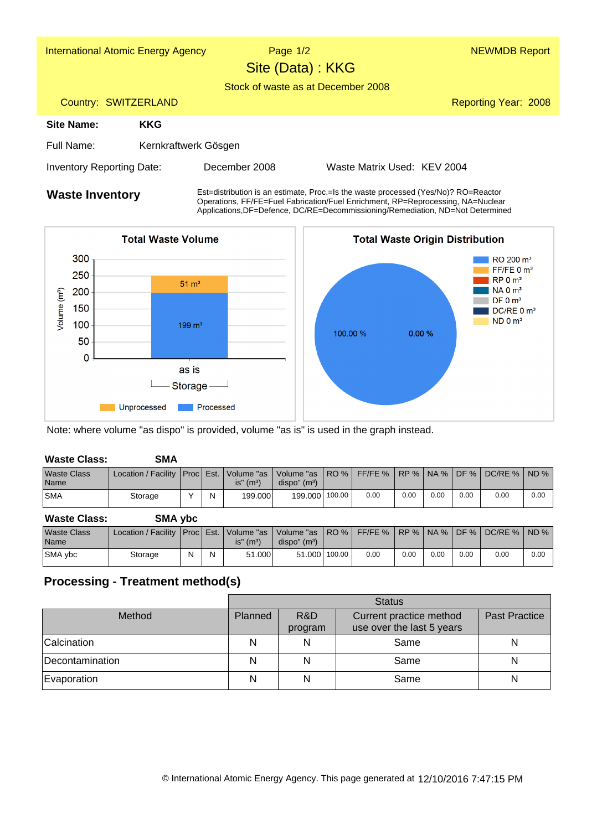| <b>International Atomic Energy Agency</b> |                      | Page $1/2$<br>Site (Data) : KKG<br>Stock of waste as at December 2008              |                             | <b>NEWMDB Report</b> |  |  |  |
|-------------------------------------------|----------------------|------------------------------------------------------------------------------------|-----------------------------|----------------------|--|--|--|
| Country: SWITZERLAND                      |                      |                                                                                    |                             | Reporting Year: 2008 |  |  |  |
| Site Name:                                | <b>KKG</b>           |                                                                                    |                             |                      |  |  |  |
| Full Name:                                | Kernkraftwerk Gösgen |                                                                                    |                             |                      |  |  |  |
| <b>Inventory Reporting Date:</b>          |                      | December 2008                                                                      | Waste Matrix Used: KEV 2004 |                      |  |  |  |
| Waste Inventory                           |                      | Est=distribution is an estimate, Proc.=Is the waste processed (Yes/No)? RO=Reactor |                             |                      |  |  |  |

**Waste Inventory** Est=distribution is an estimate, Proc.=Is the waste processed (Yes/No)? RO=Reactor<br>Operations, FF/FE=Fuel Fabrication/Fuel Enrichment, RP=Reprocessing, NA=Nuclear Applications,DF=Defence, DC/RE=Decommissioning/Remediation, ND=Not Determined



Note: where volume "as dispo" is provided, volume "as is" is used in the graph instead.

| <b>Waste Class:</b>        | SMA                                            |   |                          |                           |        |      |      |      |      |      |      |
|----------------------------|------------------------------------------------|---|--------------------------|---------------------------|--------|------|------|------|------|------|------|
| <b>Waste Class</b><br>Name | Location / Facility   Proc   Est.   Volume "as |   | $is''$ (m <sup>3</sup> ) | dispo'' (m <sup>3</sup> ) |        |      |      |      |      |      |      |
| <b>SMA</b>                 | Storage                                        | N | 199.000                  | 199.000                   | 100.00 | 0.00 | 0.00 | 0.00 | 0.00 | 0.00 | 0.00 |
|                            |                                                |   |                          |                           |        |      |      |      |      |      |      |

| SMA ybc |
|---------|
|         |

| Waste Class<br>Name | Location / Facility   Proc   Est.   Volume "as   Volume "as   RO %   FF/FE %   RP %   NA %   DF % |   |   | $is''$ (m <sup>3</sup> ) | dispo'' (m <sup>3</sup> ) |               |      |      |      |      | l DC/RE %   ND % |      |
|---------------------|---------------------------------------------------------------------------------------------------|---|---|--------------------------|---------------------------|---------------|------|------|------|------|------------------|------|
| <b>SMA</b> vbc      | Storage                                                                                           | N | N | 51,000                   |                           | 51,000 100.00 | 0.00 | 0.00 | 0.00 | 0.00 | 0.00             | 0.00 |

## **Processing - Treatment method(s)**

|                 | <b>Status</b> |                |                                                      |                      |  |  |  |  |
|-----------------|---------------|----------------|------------------------------------------------------|----------------------|--|--|--|--|
| Method          | Planned       | R&D<br>program | Current practice method<br>use over the last 5 years | <b>Past Practice</b> |  |  |  |  |
| Calcination     | N             | N              | Same                                                 | N                    |  |  |  |  |
| Decontamination | Ν             |                | Same                                                 | N                    |  |  |  |  |
| Evaporation     |               |                | Same                                                 | N                    |  |  |  |  |